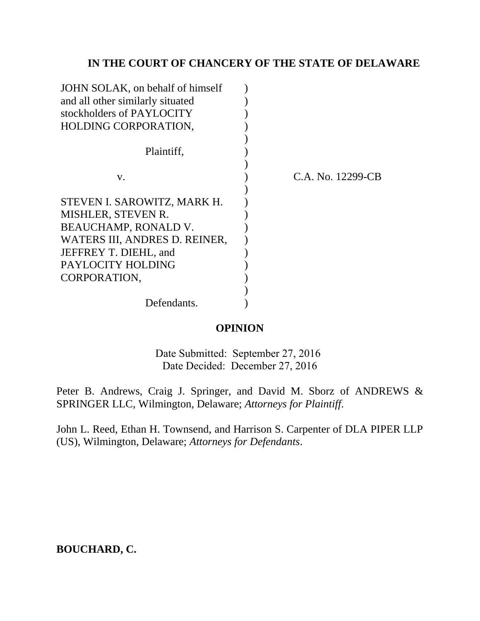# **IN THE COURT OF CHANCERY OF THE STATE OF DELAWARE**

| JOHN SOLAK, on behalf of himself |                   |
|----------------------------------|-------------------|
| and all other similarly situated |                   |
| stockholders of PAYLOCITY        |                   |
| HOLDING CORPORATION,             |                   |
|                                  |                   |
| Plaintiff,                       |                   |
|                                  |                   |
| V.                               | C.A. No. 12299-CB |
|                                  |                   |
| STEVEN I. SAROWITZ, MARK H.      |                   |
| MISHLER, STEVEN R.               |                   |
| <b>BEAUCHAMP, RONALD V.</b>      |                   |
| WATERS III, ANDRES D. REINER,    |                   |
| JEFFREY T. DIEHL, and            |                   |
| PAYLOCITY HOLDING                |                   |
| CORPORATION.                     |                   |
|                                  |                   |
| Defendants.                      |                   |

## **OPINION**

Date Submitted: September 27, 2016 Date Decided: December 27, 2016

Peter B. Andrews, Craig J. Springer, and David M. Sborz of ANDREWS & SPRINGER LLC, Wilmington, Delaware; *Attorneys for Plaintiff*.

John L. Reed, Ethan H. Townsend, and Harrison S. Carpenter of DLA PIPER LLP (US), Wilmington, Delaware; *Attorneys for Defendants*.

# **BOUCHARD, C.**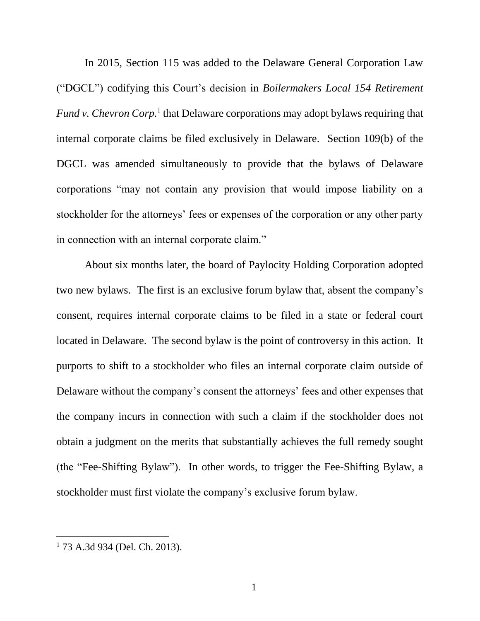In 2015, Section 115 was added to the Delaware General Corporation Law ("DGCL") codifying this Court's decision in *Boilermakers Local 154 Retirement* Fund v. Chevron Corp.<sup>1</sup> that Delaware corporations may adopt bylaws requiring that internal corporate claims be filed exclusively in Delaware. Section 109(b) of the DGCL was amended simultaneously to provide that the bylaws of Delaware corporations "may not contain any provision that would impose liability on a stockholder for the attorneys' fees or expenses of the corporation or any other party in connection with an internal corporate claim."

About six months later, the board of Paylocity Holding Corporation adopted two new bylaws. The first is an exclusive forum bylaw that, absent the company's consent, requires internal corporate claims to be filed in a state or federal court located in Delaware. The second bylaw is the point of controversy in this action. It purports to shift to a stockholder who files an internal corporate claim outside of Delaware without the company's consent the attorneys' fees and other expenses that the company incurs in connection with such a claim if the stockholder does not obtain a judgment on the merits that substantially achieves the full remedy sought (the "Fee-Shifting Bylaw"). In other words, to trigger the Fee-Shifting Bylaw, a stockholder must first violate the company's exclusive forum bylaw.

<sup>1</sup> 73 A.3d 934 (Del. Ch. 2013).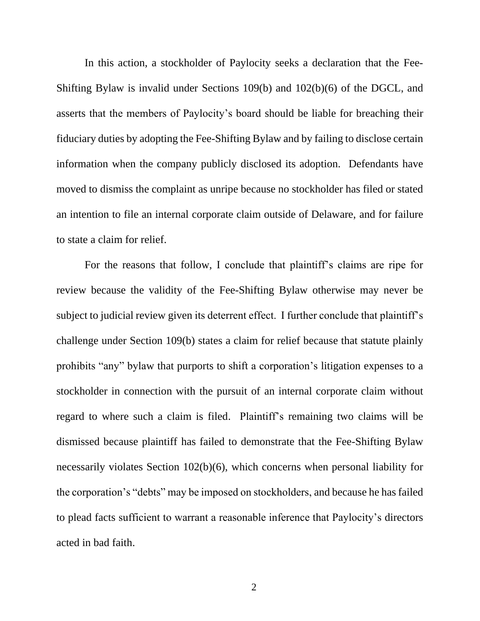In this action, a stockholder of Paylocity seeks a declaration that the Fee-Shifting Bylaw is invalid under Sections 109(b) and 102(b)(6) of the DGCL, and asserts that the members of Paylocity's board should be liable for breaching their fiduciary duties by adopting the Fee-Shifting Bylaw and by failing to disclose certain information when the company publicly disclosed its adoption. Defendants have moved to dismiss the complaint as unripe because no stockholder has filed or stated an intention to file an internal corporate claim outside of Delaware, and for failure to state a claim for relief.

For the reasons that follow, I conclude that plaintiff's claims are ripe for review because the validity of the Fee-Shifting Bylaw otherwise may never be subject to judicial review given its deterrent effect. I further conclude that plaintiff's challenge under Section 109(b) states a claim for relief because that statute plainly prohibits "any" bylaw that purports to shift a corporation's litigation expenses to a stockholder in connection with the pursuit of an internal corporate claim without regard to where such a claim is filed. Plaintiff's remaining two claims will be dismissed because plaintiff has failed to demonstrate that the Fee-Shifting Bylaw necessarily violates Section 102(b)(6), which concerns when personal liability for the corporation's "debts" may be imposed on stockholders, and because he has failed to plead facts sufficient to warrant a reasonable inference that Paylocity's directors acted in bad faith.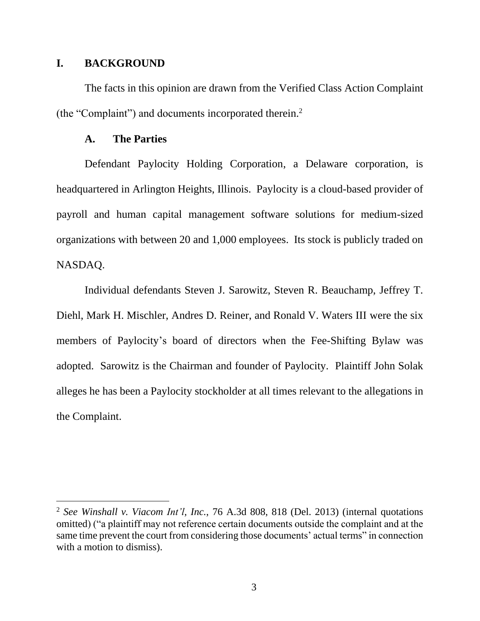### **I. BACKGROUND**

 $\overline{a}$ 

The facts in this opinion are drawn from the Verified Class Action Complaint (the "Complaint") and documents incorporated therein.<sup>2</sup>

### **A. The Parties**

Defendant Paylocity Holding Corporation, a Delaware corporation, is headquartered in Arlington Heights, Illinois. Paylocity is a cloud-based provider of payroll and human capital management software solutions for medium-sized organizations with between 20 and 1,000 employees. Its stock is publicly traded on NASDAQ.

Individual defendants Steven J. Sarowitz, Steven R. Beauchamp, Jeffrey T. Diehl, Mark H. Mischler, Andres D. Reiner, and Ronald V. Waters III were the six members of Paylocity's board of directors when the Fee-Shifting Bylaw was adopted. Sarowitz is the Chairman and founder of Paylocity. Plaintiff John Solak alleges he has been a Paylocity stockholder at all times relevant to the allegations in the Complaint.

<sup>2</sup> *See Winshall v. Viacom Int'l, Inc.*, 76 A.3d 808, 818 (Del. 2013) (internal quotations omitted) ("a plaintiff may not reference certain documents outside the complaint and at the same time prevent the court from considering those documents' actual terms" in connection with a motion to dismiss).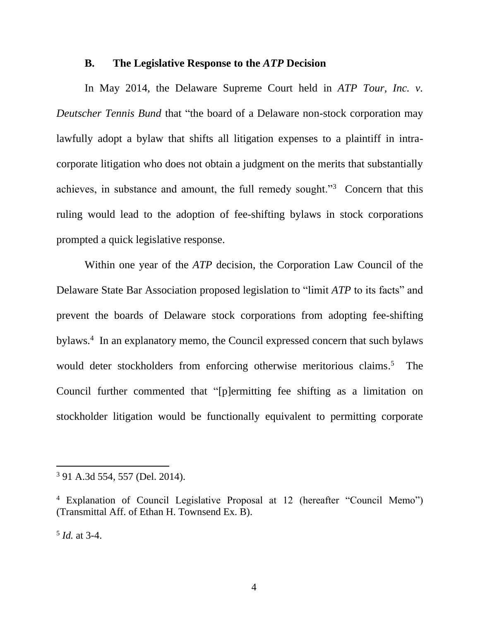#### **B. The Legislative Response to the** *ATP* **Decision**

In May 2014, the Delaware Supreme Court held in *ATP Tour, Inc. v. Deutscher Tennis Bund* that "the board of a Delaware non-stock corporation may lawfully adopt a bylaw that shifts all litigation expenses to a plaintiff in intracorporate litigation who does not obtain a judgment on the merits that substantially achieves, in substance and amount, the full remedy sought."<sup>3</sup> Concern that this ruling would lead to the adoption of fee-shifting bylaws in stock corporations prompted a quick legislative response.

Within one year of the *ATP* decision, the Corporation Law Council of the Delaware State Bar Association proposed legislation to "limit *ATP* to its facts" and prevent the boards of Delaware stock corporations from adopting fee-shifting bylaws. 4 In an explanatory memo, the Council expressed concern that such bylaws would deter stockholders from enforcing otherwise meritorious claims.<sup>5</sup> The Council further commented that "[p]ermitting fee shifting as a limitation on stockholder litigation would be functionally equivalent to permitting corporate

5 *Id.* at 3-4.

<sup>3</sup> 91 A.3d 554, 557 (Del. 2014).

<sup>4</sup> Explanation of Council Legislative Proposal at 12 (hereafter "Council Memo") (Transmittal Aff. of Ethan H. Townsend Ex. B).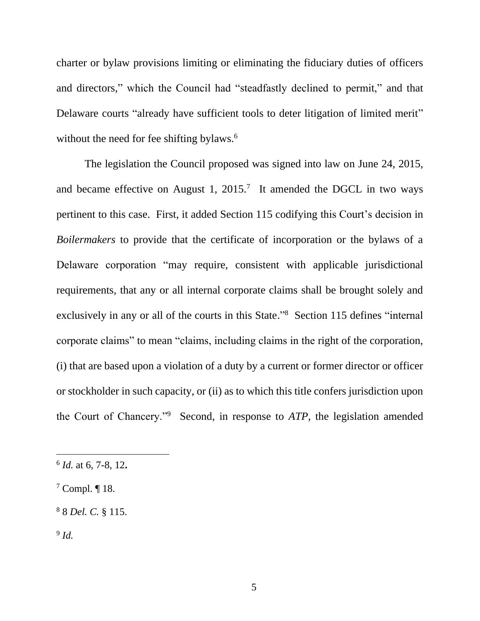charter or bylaw provisions limiting or eliminating the fiduciary duties of officers and directors," which the Council had "steadfastly declined to permit," and that Delaware courts "already have sufficient tools to deter litigation of limited merit" without the need for fee shifting bylaws.<sup>6</sup>

The legislation the Council proposed was signed into law on June 24, 2015, and became effective on August 1, 2015.<sup>7</sup> It amended the DGCL in two ways pertinent to this case. First, it added Section 115 codifying this Court's decision in *Boilermakers* to provide that the certificate of incorporation or the bylaws of a Delaware corporation "may require, consistent with applicable jurisdictional requirements, that any or all internal corporate claims shall be brought solely and exclusively in any or all of the courts in this State."<sup>8</sup> Section 115 defines "internal corporate claims" to mean "claims, including claims in the right of the corporation, (i) that are based upon a violation of a duty by a current or former director or officer or stockholder in such capacity, or (ii) as to which this title confers jurisdiction upon the Court of Chancery."<sup>9</sup> Second, in response to *ATP*, the legislation amended

9 *Id.*

<sup>6</sup> *Id.* at 6, 7-8, 12**.**

<sup>7</sup> Compl. ¶ 18.

<sup>8</sup> 8 *Del. C.* § 115.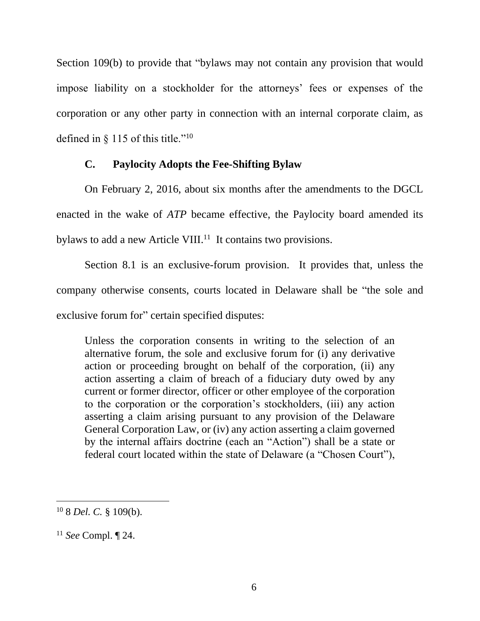Section 109(b) to provide that "bylaws may not contain any provision that would impose liability on a stockholder for the attorneys' fees or expenses of the corporation or any other party in connection with an internal corporate claim, as defined in  $\S$  115 of this title."<sup>10</sup>

## **C. Paylocity Adopts the Fee-Shifting Bylaw**

On February 2, 2016, about six months after the amendments to the DGCL enacted in the wake of *ATP* became effective, the Paylocity board amended its bylaws to add a new Article VIII.<sup>11</sup> It contains two provisions.

Section 8.1 is an exclusive-forum provision. It provides that, unless the company otherwise consents, courts located in Delaware shall be "the sole and exclusive forum for" certain specified disputes:

Unless the corporation consents in writing to the selection of an alternative forum, the sole and exclusive forum for (i) any derivative action or proceeding brought on behalf of the corporation, (ii) any action asserting a claim of breach of a fiduciary duty owed by any current or former director, officer or other employee of the corporation to the corporation or the corporation's stockholders, (iii) any action asserting a claim arising pursuant to any provision of the Delaware General Corporation Law, or (iv) any action asserting a claim governed by the internal affairs doctrine (each an "Action") shall be a state or federal court located within the state of Delaware (a "Chosen Court"),

<sup>10</sup> 8 *Del. C.* § 109(b).

<sup>11</sup> *See* Compl. ¶ 24.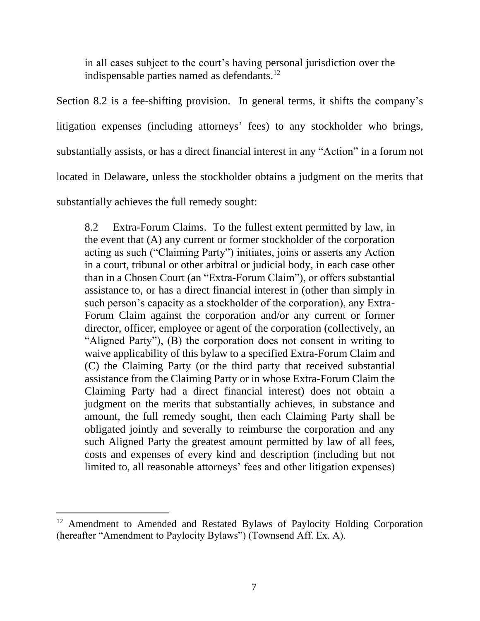in all cases subject to the court's having personal jurisdiction over the indispensable parties named as defendants. 12

Section 8.2 is a fee-shifting provision. In general terms, it shifts the company's litigation expenses (including attorneys' fees) to any stockholder who brings, substantially assists, or has a direct financial interest in any "Action" in a forum not located in Delaware, unless the stockholder obtains a judgment on the merits that substantially achieves the full remedy sought:

8.2 Extra-Forum Claims. To the fullest extent permitted by law, in the event that (A) any current or former stockholder of the corporation acting as such ("Claiming Party") initiates, joins or asserts any Action in a court, tribunal or other arbitral or judicial body, in each case other than in a Chosen Court (an "Extra-Forum Claim"), or offers substantial assistance to, or has a direct financial interest in (other than simply in such person's capacity as a stockholder of the corporation), any Extra-Forum Claim against the corporation and/or any current or former director, officer, employee or agent of the corporation (collectively, an "Aligned Party"), (B) the corporation does not consent in writing to waive applicability of this bylaw to a specified Extra-Forum Claim and (C) the Claiming Party (or the third party that received substantial assistance from the Claiming Party or in whose Extra-Forum Claim the Claiming Party had a direct financial interest) does not obtain a judgment on the merits that substantially achieves, in substance and amount, the full remedy sought, then each Claiming Party shall be obligated jointly and severally to reimburse the corporation and any such Aligned Party the greatest amount permitted by law of all fees, costs and expenses of every kind and description (including but not limited to, all reasonable attorneys' fees and other litigation expenses)

 $\overline{a}$ <sup>12</sup> Amendment to Amended and Restated Bylaws of Paylocity Holding Corporation (hereafter "Amendment to Paylocity Bylaws") (Townsend Aff. Ex. A).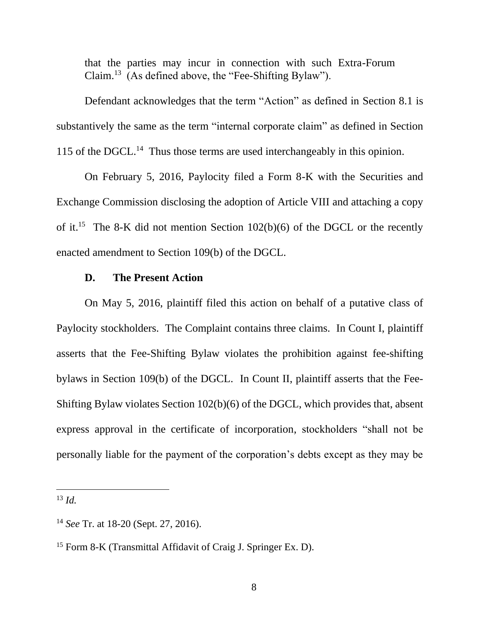that the parties may incur in connection with such Extra-Forum Claim.<sup>13</sup> (As defined above, the "Fee-Shifting Bylaw").

Defendant acknowledges that the term "Action" as defined in Section 8.1 is substantively the same as the term "internal corporate claim" as defined in Section 115 of the DGCL. 14 Thus those terms are used interchangeably in this opinion.

On February 5, 2016, Paylocity filed a Form 8-K with the Securities and Exchange Commission disclosing the adoption of Article VIII and attaching a copy of it.<sup>15</sup> The 8-K did not mention Section  $102(b)(6)$  of the DGCL or the recently enacted amendment to Section 109(b) of the DGCL.

#### **D. The Present Action**

On May 5, 2016, plaintiff filed this action on behalf of a putative class of Paylocity stockholders. The Complaint contains three claims. In Count I, plaintiff asserts that the Fee-Shifting Bylaw violates the prohibition against fee-shifting bylaws in Section 109(b) of the DGCL. In Count II, plaintiff asserts that the Fee-Shifting Bylaw violates Section 102(b)(6) of the DGCL, which provides that, absent express approval in the certificate of incorporation, stockholders "shall not be personally liable for the payment of the corporation's debts except as they may be

 $13 \, Id.$ 

<sup>14</sup> *See* Tr. at 18-20 (Sept. 27, 2016).

<sup>15</sup> Form 8-K (Transmittal Affidavit of Craig J. Springer Ex. D).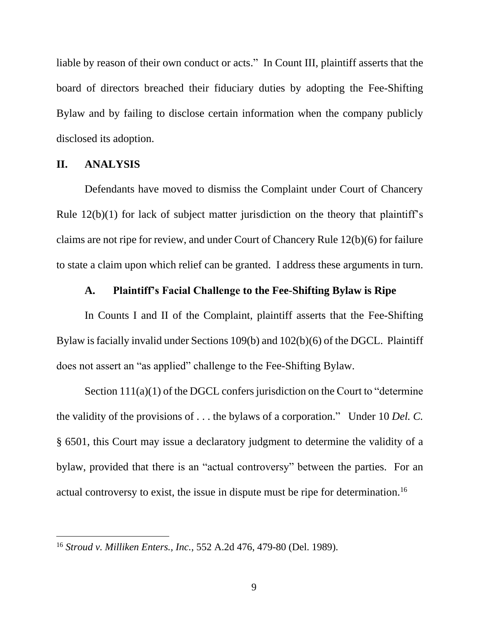liable by reason of their own conduct or acts." In Count III, plaintiff asserts that the board of directors breached their fiduciary duties by adopting the Fee-Shifting Bylaw and by failing to disclose certain information when the company publicly disclosed its adoption.

#### **II. ANALYSIS**

 $\overline{a}$ 

Defendants have moved to dismiss the Complaint under Court of Chancery Rule 12(b)(1) for lack of subject matter jurisdiction on the theory that plaintiff's claims are not ripe for review, and under Court of Chancery Rule 12(b)(6) for failure to state a claim upon which relief can be granted. I address these arguments in turn.

# **A. Plaintiff's Facial Challenge to the Fee-Shifting Bylaw is Ripe**

In Counts I and II of the Complaint, plaintiff asserts that the Fee-Shifting Bylaw is facially invalid under Sections 109(b) and 102(b)(6) of the DGCL. Plaintiff does not assert an "as applied" challenge to the Fee-Shifting Bylaw.

Section  $111(a)(1)$  of the DGCL confers jurisdiction on the Court to "determine" the validity of the provisions of . . . the bylaws of a corporation." Under 10 *Del. C.*  § 6501, this Court may issue a declaratory judgment to determine the validity of a bylaw, provided that there is an "actual controversy" between the parties. For an actual controversy to exist, the issue in dispute must be ripe for determination.<sup>16</sup>

<sup>16</sup> *Stroud v. Milliken Enters., Inc.*, 552 A.2d 476, 479-80 (Del. 1989).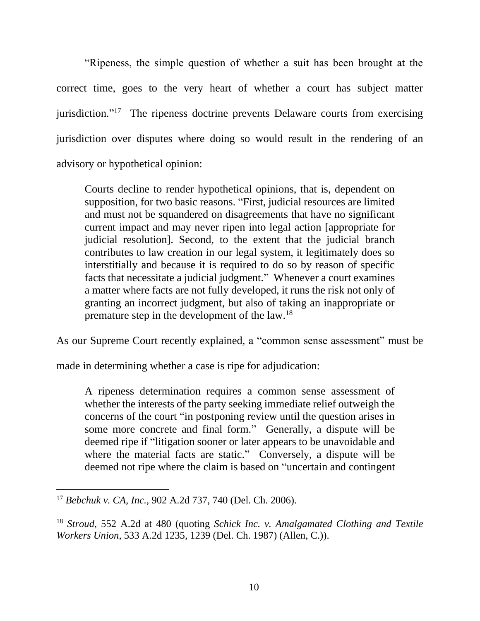"Ripeness, the simple question of whether a suit has been brought at the correct time, goes to the very heart of whether a court has subject matter jurisdiction."<sup>17</sup> The ripeness doctrine prevents Delaware courts from exercising jurisdiction over disputes where doing so would result in the rendering of an advisory or hypothetical opinion:

Courts decline to render hypothetical opinions, that is, dependent on supposition, for two basic reasons. "First, judicial resources are limited and must not be squandered on disagreements that have no significant current impact and may never ripen into legal action [appropriate for judicial resolution]. Second, to the extent that the judicial branch contributes to law creation in our legal system, it legitimately does so interstitially and because it is required to do so by reason of specific facts that necessitate a judicial judgment." Whenever a court examines a matter where facts are not fully developed, it runs the risk not only of granting an incorrect judgment, but also of taking an inappropriate or premature step in the development of the law.<sup>18</sup>

As our Supreme Court recently explained, a "common sense assessment" must be

made in determining whether a case is ripe for adjudication:

A ripeness determination requires a common sense assessment of whether the interests of the party seeking immediate relief outweigh the concerns of the court "in postponing review until the question arises in some more concrete and final form." Generally, a dispute will be deemed ripe if "litigation sooner or later appears to be unavoidable and where the material facts are static." Conversely, a dispute will be deemed not ripe where the claim is based on "uncertain and contingent

<sup>17</sup> *Bebchuk v. CA, Inc.*, 902 A.2d 737, 740 (Del. Ch. 2006).

<sup>18</sup> *Stroud*, 552 A.2d at 480 (quoting *Schick Inc. v. Amalgamated Clothing and Textile Workers Union*, 533 A.2d 1235, 1239 (Del. Ch. 1987) (Allen, C.)).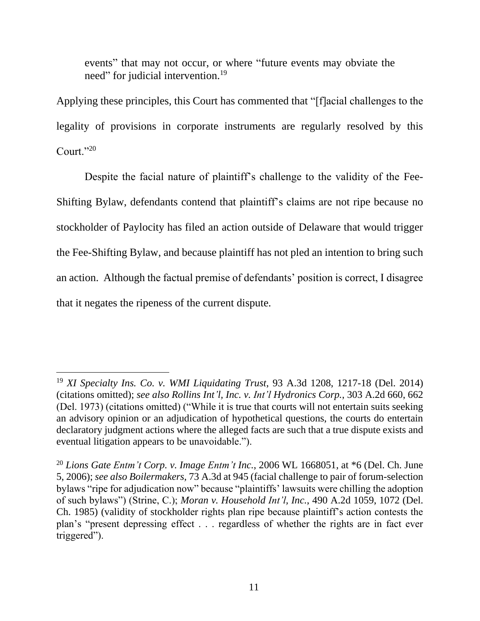events" that may not occur, or where "future events may obviate the need" for judicial intervention.<sup>19</sup>

Applying these principles, this Court has commented that "[f]acial challenges to the legality of provisions in corporate instruments are regularly resolved by this Court."<sup>20</sup>

Despite the facial nature of plaintiff's challenge to the validity of the Fee-Shifting Bylaw, defendants contend that plaintiff's claims are not ripe because no stockholder of Paylocity has filed an action outside of Delaware that would trigger the Fee-Shifting Bylaw, and because plaintiff has not pled an intention to bring such an action. Although the factual premise of defendants' position is correct, I disagree that it negates the ripeness of the current dispute.

<sup>19</sup> *XI Specialty Ins. Co. v. WMI Liquidating Trust*, 93 A.3d 1208, 1217-18 (Del. 2014) (citations omitted); *see also Rollins Int'l, Inc. v. Int'l Hydronics Corp.*, 303 A.2d 660, 662 (Del. 1973) (citations omitted) ("While it is true that courts will not entertain suits seeking an advisory opinion or an adjudication of hypothetical questions, the courts do entertain declaratory judgment actions where the alleged facts are such that a true dispute exists and eventual litigation appears to be unavoidable.").

<sup>&</sup>lt;sup>20</sup> *Lions Gate Entm't Corp. v. Image Entm't Inc.*, 2006 WL 1668051, at \*6 (Del. Ch. June 5, 2006); *see also Boilermakers,* 73 A.3d at 945 (facial challenge to pair of forum-selection bylaws "ripe for adjudication now" because "plaintiffs' lawsuits were chilling the adoption of such bylaws") (Strine, C.); *Moran v. Household Int'l, Inc.*, 490 A.2d 1059, 1072 (Del. Ch. 1985) (validity of stockholder rights plan ripe because plaintiff's action contests the plan's "present depressing effect . . . regardless of whether the rights are in fact ever triggered").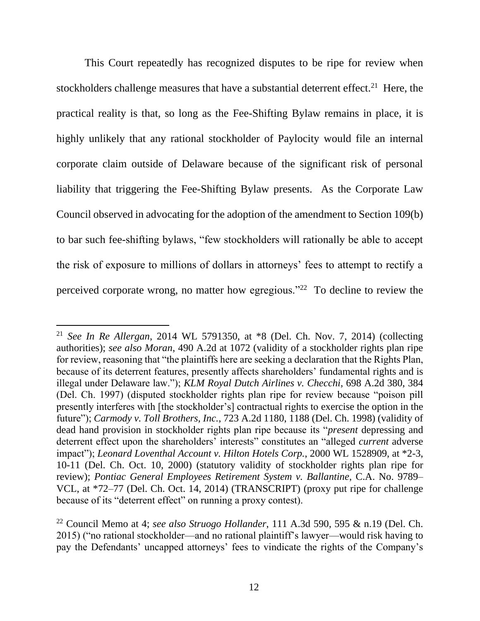This Court repeatedly has recognized disputes to be ripe for review when stockholders challenge measures that have a substantial deterrent effect.<sup>21</sup> Here, the practical reality is that, so long as the Fee-Shifting Bylaw remains in place, it is highly unlikely that any rational stockholder of Paylocity would file an internal corporate claim outside of Delaware because of the significant risk of personal liability that triggering the Fee-Shifting Bylaw presents. As the Corporate Law Council observed in advocating for the adoption of the amendment to Section 109(b) to bar such fee-shifting bylaws, "few stockholders will rationally be able to accept the risk of exposure to millions of dollars in attorneys' fees to attempt to rectify a perceived corporate wrong, no matter how egregious."<sup>22</sup> To decline to review the

<sup>21</sup> *See In Re Allergan*, 2014 WL 5791350, at \*8 (Del. Ch. Nov. 7, 2014) (collecting authorities); *see also Moran*, 490 A.2d at 1072 (validity of a stockholder rights plan ripe for review, reasoning that "the plaintiffs here are seeking a declaration that the Rights Plan, because of its deterrent features, presently affects shareholders' fundamental rights and is illegal under Delaware law."); *KLM Royal Dutch Airlines v. Checchi*, 698 A.2d 380, 384 (Del. Ch. 1997) (disputed stockholder rights plan ripe for review because "poison pill presently interferes with [the stockholder's] contractual rights to exercise the option in the future"); *Carmody v. Toll Brothers, Inc.*, 723 A.2d 1180, 1188 (Del. Ch. 1998) (validity of dead hand provision in stockholder rights plan ripe because its "*present* depressing and deterrent effect upon the shareholders' interests" constitutes an "alleged *current* adverse impact"); *Leonard Loventhal Account v. Hilton Hotels Corp.*, 2000 WL 1528909, at \*2-3, 10-11 (Del. Ch. Oct. 10, 2000) (statutory validity of stockholder rights plan ripe for review); *Pontiac General Employees Retirement System v. Ballantine*, C.A. No. 9789– VCL, at \*72–77 (Del. Ch. Oct. 14, 2014) (TRANSCRIPT) (proxy put ripe for challenge because of its "deterrent effect" on running a proxy contest).

<sup>22</sup> Council Memo at 4; *see also Struogo Hollander*, 111 A.3d 590, 595 & n.19 (Del. Ch. 2015) ("no rational stockholder—and no rational plaintiff's lawyer—would risk having to pay the Defendants' uncapped attorneys' fees to vindicate the rights of the Company's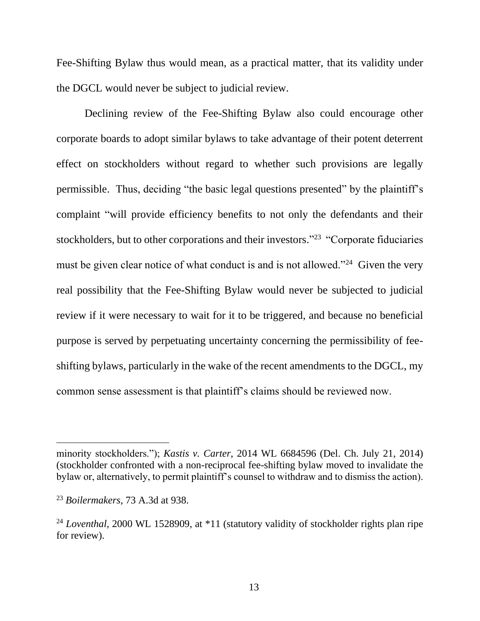Fee-Shifting Bylaw thus would mean, as a practical matter, that its validity under the DGCL would never be subject to judicial review.

Declining review of the Fee-Shifting Bylaw also could encourage other corporate boards to adopt similar bylaws to take advantage of their potent deterrent effect on stockholders without regard to whether such provisions are legally permissible. Thus, deciding "the basic legal questions presented" by the plaintiff's complaint "will provide efficiency benefits to not only the defendants and their stockholders, but to other corporations and their investors."<sup>23</sup> "Corporate fiduciaries must be given clear notice of what conduct is and is not allowed."<sup>24</sup> Given the very real possibility that the Fee-Shifting Bylaw would never be subjected to judicial review if it were necessary to wait for it to be triggered, and because no beneficial purpose is served by perpetuating uncertainty concerning the permissibility of feeshifting bylaws, particularly in the wake of the recent amendments to the DGCL, my common sense assessment is that plaintiff's claims should be reviewed now.

minority stockholders."); *Kastis v. Carter*, 2014 WL 6684596 (Del. Ch. July 21, 2014) (stockholder confronted with a non-reciprocal fee-shifting bylaw moved to invalidate the bylaw or, alternatively, to permit plaintiff's counsel to withdraw and to dismiss the action).

<sup>23</sup> *Boilermakers*, 73 A.3d at 938.

<sup>&</sup>lt;sup>24</sup> *Loventhal*, 2000 WL 1528909, at \*11 (statutory validity of stockholder rights plan ripe for review).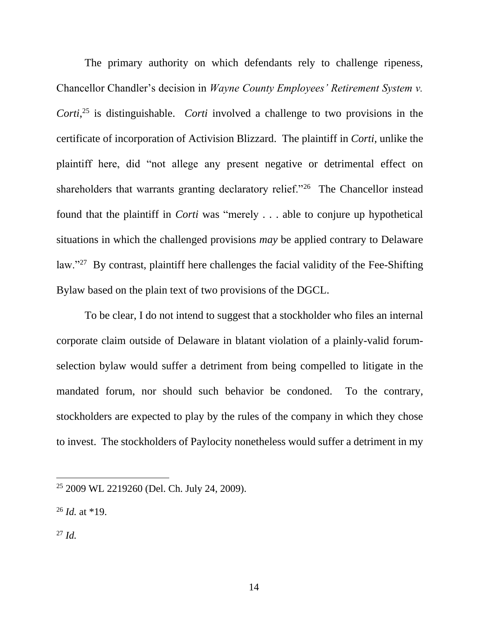The primary authority on which defendants rely to challenge ripeness, Chancellor Chandler's decision in *Wayne County Employees' Retirement System v. Corti*, <sup>25</sup> is distinguishable. *Corti* involved a challenge to two provisions in the certificate of incorporation of Activision Blizzard. The plaintiff in *Corti*, unlike the plaintiff here, did "not allege any present negative or detrimental effect on shareholders that warrants granting declaratory relief."<sup>26</sup> The Chancellor instead found that the plaintiff in *Corti* was "merely . . . able to conjure up hypothetical situations in which the challenged provisions *may* be applied contrary to Delaware law."<sup>27</sup> By contrast, plaintiff here challenges the facial validity of the Fee-Shifting Bylaw based on the plain text of two provisions of the DGCL.

To be clear, I do not intend to suggest that a stockholder who files an internal corporate claim outside of Delaware in blatant violation of a plainly-valid forumselection bylaw would suffer a detriment from being compelled to litigate in the mandated forum, nor should such behavior be condoned. To the contrary, stockholders are expected to play by the rules of the company in which they chose to invest. The stockholders of Paylocity nonetheless would suffer a detriment in my

<sup>26</sup> *Id.* at \*19.

<sup>27</sup> *Id.*

<sup>25</sup> 2009 WL 2219260 (Del. Ch. July 24, 2009).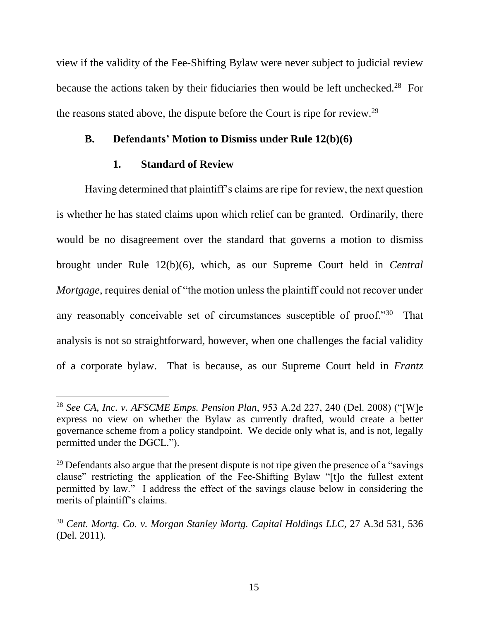view if the validity of the Fee-Shifting Bylaw were never subject to judicial review because the actions taken by their fiduciaries then would be left unchecked.<sup>28</sup> For the reasons stated above, the dispute before the Court is ripe for review.<sup>29</sup>

## **B. Defendants' Motion to Dismiss under Rule 12(b)(6)**

### **1. Standard of Review**

Having determined that plaintiff's claims are ripe for review, the next question is whether he has stated claims upon which relief can be granted. Ordinarily, there would be no disagreement over the standard that governs a motion to dismiss brought under Rule 12(b)(6), which, as our Supreme Court held in *Central Mortgage*, requires denial of "the motion unless the plaintiff could not recover under any reasonably conceivable set of circumstances susceptible of proof."30 That analysis is not so straightforward, however, when one challenges the facial validity of a corporate bylaw. That is because, as our Supreme Court held in *Frantz* 

<sup>28</sup> *See CA, Inc. v. AFSCME Emps. Pension Plan*, 953 A.2d 227, 240 (Del. 2008) ("[W]e express no view on whether the Bylaw as currently drafted, would create a better governance scheme from a policy standpoint. We decide only what is, and is not, legally permitted under the DGCL.").

 $^{29}$  Defendants also argue that the present dispute is not ripe given the presence of a "savings" clause" restricting the application of the Fee-Shifting Bylaw "[t]o the fullest extent permitted by law." I address the effect of the savings clause below in considering the merits of plaintiff's claims.

<sup>30</sup> *Cent. Mortg. Co. v. Morgan Stanley Mortg. Capital Holdings LLC*, 27 A.3d 531, 536 (Del. 2011).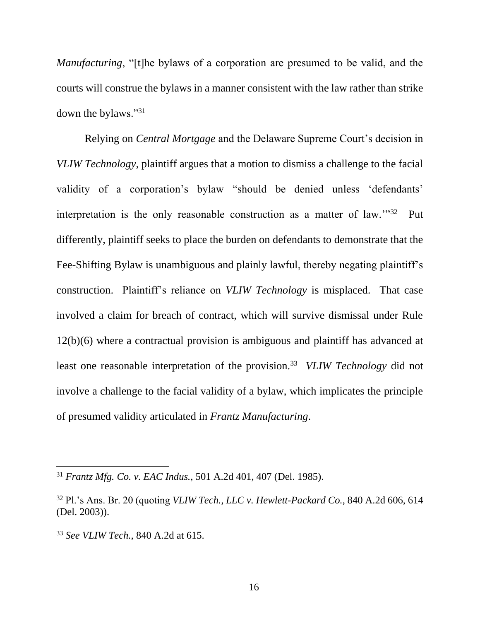*Manufacturing*, "[t]he bylaws of a corporation are presumed to be valid, and the courts will construe the bylaws in a manner consistent with the law rather than strike down the bylaws."<sup>31</sup>

Relying on *Central Mortgage* and the Delaware Supreme Court's decision in *VLIW Technology*, plaintiff argues that a motion to dismiss a challenge to the facial validity of a corporation's bylaw "should be denied unless 'defendants' interpretation is the only reasonable construction as a matter of law."<sup>32</sup> Put differently, plaintiff seeks to place the burden on defendants to demonstrate that the Fee-Shifting Bylaw is unambiguous and plainly lawful, thereby negating plaintiff's construction. Plaintiff's reliance on *VLIW Technology* is misplaced. That case involved a claim for breach of contract, which will survive dismissal under Rule 12(b)(6) where a contractual provision is ambiguous and plaintiff has advanced at least one reasonable interpretation of the provision.<sup>33</sup> VLIW Technology did not involve a challenge to the facial validity of a bylaw, which implicates the principle of presumed validity articulated in *Frantz Manufacturing*.

<sup>31</sup> *Frantz Mfg. Co. v. EAC Indus.*, 501 A.2d 401, 407 (Del. 1985).

<sup>32</sup> Pl.'s Ans. Br. 20 (quoting *VLIW Tech., LLC v. Hewlett-Packard Co.*, 840 A.2d 606, 614 (Del. 2003)).

<sup>33</sup> *See VLIW Tech.,* 840 A.2d at 615.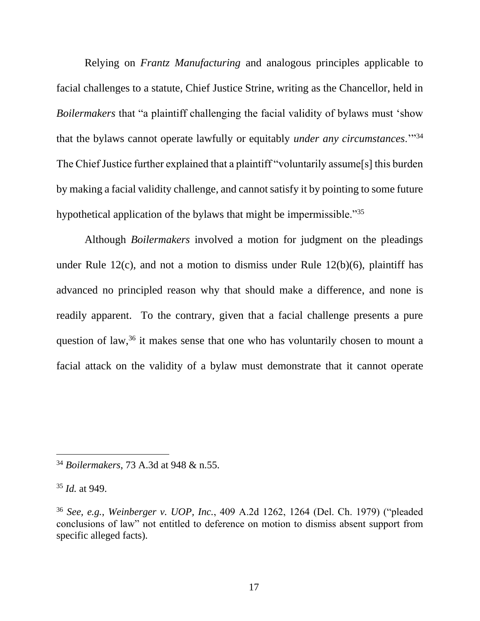Relying on *Frantz Manufacturing* and analogous principles applicable to facial challenges to a statute, Chief Justice Strine, writing as the Chancellor, held in *Boilermakers* that "a plaintiff challenging the facial validity of bylaws must 'show that the bylaws cannot operate lawfully or equitably *under any circumstances*.'"<sup>34</sup> The Chief Justice further explained that a plaintiff "voluntarily assume[s] this burden by making a facial validity challenge, and cannot satisfy it by pointing to some future hypothetical application of the bylaws that might be impermissible."<sup>35</sup>

Although *Boilermakers* involved a motion for judgment on the pleadings under Rule 12(c), and not a motion to dismiss under Rule 12(b)(6), plaintiff has advanced no principled reason why that should make a difference, and none is readily apparent. To the contrary, given that a facial challenge presents a pure question of law,  $36$  it makes sense that one who has voluntarily chosen to mount a facial attack on the validity of a bylaw must demonstrate that it cannot operate

<sup>34</sup> *Boilermakers*, 73 A.3d at 948 & n.55.

<sup>35</sup> *Id.* at 949.

<sup>36</sup> *See, e.g.*, *Weinberger v. UOP, Inc.*, 409 A.2d 1262, 1264 (Del. Ch. 1979) ("pleaded conclusions of law" not entitled to deference on motion to dismiss absent support from specific alleged facts).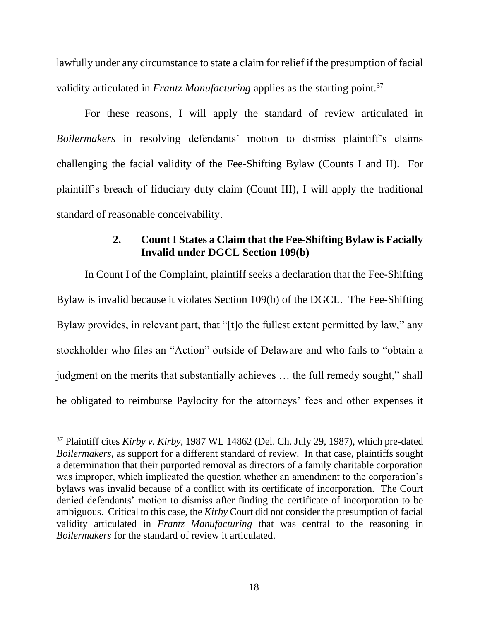lawfully under any circumstance to state a claim for relief if the presumption of facial validity articulated in *Frantz Manufacturing* applies as the starting point. 37

For these reasons, I will apply the standard of review articulated in *Boilermakers* in resolving defendants' motion to dismiss plaintiff's claims challenging the facial validity of the Fee-Shifting Bylaw (Counts I and II). For plaintiff's breach of fiduciary duty claim (Count III), I will apply the traditional standard of reasonable conceivability.

# **2. Count I States a Claim that the Fee-Shifting Bylaw is Facially Invalid under DGCL Section 109(b)**

In Count I of the Complaint, plaintiff seeks a declaration that the Fee-Shifting Bylaw is invalid because it violates Section 109(b) of the DGCL. The Fee-Shifting Bylaw provides, in relevant part, that "[t]o the fullest extent permitted by law," any stockholder who files an "Action" outside of Delaware and who fails to "obtain a judgment on the merits that substantially achieves … the full remedy sought," shall be obligated to reimburse Paylocity for the attorneys' fees and other expenses it

<sup>37</sup> Plaintiff cites *Kirby v. Kirby*, 1987 WL 14862 (Del. Ch. July 29, 1987), which pre-dated *Boilermakers*, as support for a different standard of review. In that case, plaintiffs sought a determination that their purported removal as directors of a family charitable corporation was improper, which implicated the question whether an amendment to the corporation's bylaws was invalid because of a conflict with its certificate of incorporation. The Court denied defendants' motion to dismiss after finding the certificate of incorporation to be ambiguous. Critical to this case, the *Kirby* Court did not consider the presumption of facial validity articulated in *Frantz Manufacturing* that was central to the reasoning in *Boilermakers* for the standard of review it articulated.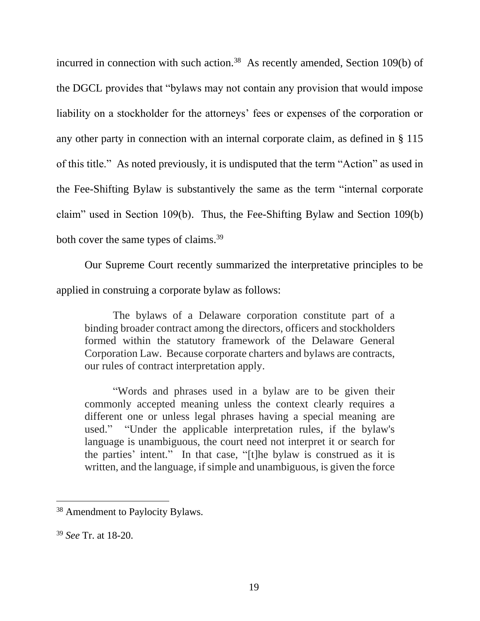incurred in connection with such action.<sup>38</sup> As recently amended, Section 109(b) of the DGCL provides that "bylaws may not contain any provision that would impose liability on a stockholder for the attorneys' fees or expenses of the corporation or any other party in connection with an internal corporate claim, as defined in § 115 of this title." As noted previously, it is undisputed that the term "Action" as used in the Fee-Shifting Bylaw is substantively the same as the term "internal corporate claim" used in Section 109(b). Thus, the Fee-Shifting Bylaw and Section 109(b) both cover the same types of claims.<sup>39</sup>

Our Supreme Court recently summarized the interpretative principles to be applied in construing a corporate bylaw as follows:

The bylaws of a Delaware corporation constitute part of a binding broader contract among the directors, officers and stockholders formed within the statutory framework of the Delaware General Corporation Law. Because corporate charters and bylaws are contracts, our rules of contract interpretation apply.

"Words and phrases used in a bylaw are to be given their commonly accepted meaning unless the context clearly requires a different one or unless legal phrases having a special meaning are used." "Under the applicable interpretation rules, if the bylaw's language is unambiguous, the court need not interpret it or search for the parties' intent." In that case, "[t]he bylaw is construed as it is written, and the language, if simple and unambiguous, is given the force

<sup>&</sup>lt;sup>38</sup> Amendment to Paylocity Bylaws.

<sup>39</sup> *See* Tr. at 18-20.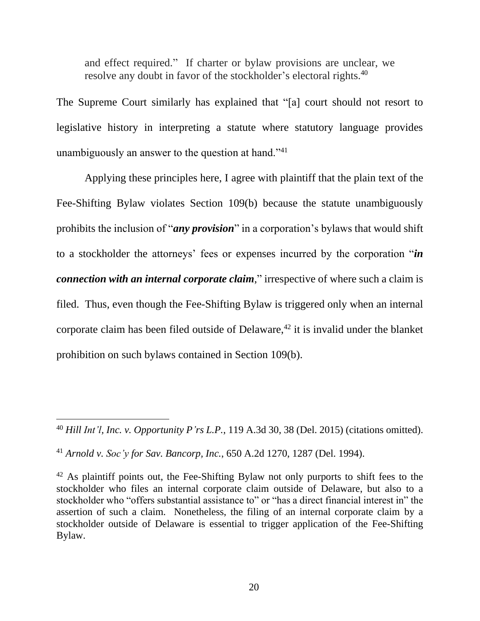and effect required." If charter or bylaw provisions are unclear, we resolve any doubt in favor of the stockholder's electoral rights.<sup>40</sup>

The Supreme Court similarly has explained that "[a] court should not resort to legislative history in interpreting a statute where statutory language provides unambiguously an answer to the question at hand."<sup>41</sup>

Applying these principles here, I agree with plaintiff that the plain text of the Fee-Shifting Bylaw violates Section 109(b) because the statute unambiguously prohibits the inclusion of "*any provision*" in a corporation's bylaws that would shift to a stockholder the attorneys' fees or expenses incurred by the corporation "*in connection with an internal corporate claim*," irrespective of where such a claim is filed. Thus, even though the Fee-Shifting Bylaw is triggered only when an internal corporate claim has been filed outside of Delaware,<sup> $42$ </sup> it is invalid under the blanket prohibition on such bylaws contained in Section 109(b).

<sup>40</sup> *Hill Int'l, Inc. v. Opportunity P'rs L.P.*, 119 A.3d 30, 38 (Del. 2015) (citations omitted).

<sup>41</sup> *Arnold v. Soc'y for Sav. Bancorp, Inc.*, 650 A.2d 1270, 1287 (Del. 1994).

 $42$  As plaintiff points out, the Fee-Shifting Bylaw not only purports to shift fees to the stockholder who files an internal corporate claim outside of Delaware, but also to a stockholder who "offers substantial assistance to" or "has a direct financial interest in" the assertion of such a claim. Nonetheless, the filing of an internal corporate claim by a stockholder outside of Delaware is essential to trigger application of the Fee-Shifting Bylaw.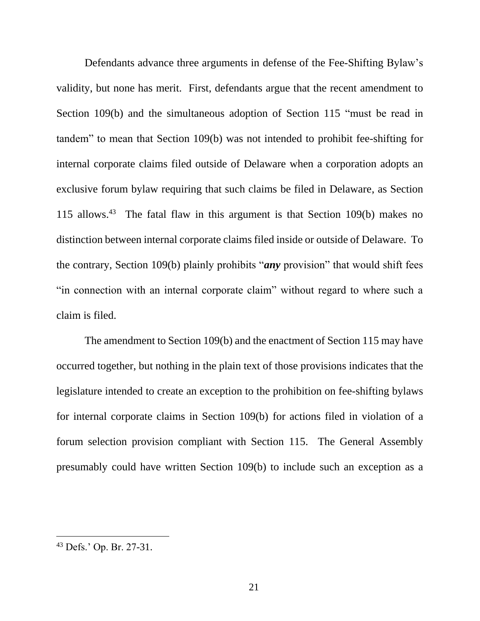Defendants advance three arguments in defense of the Fee-Shifting Bylaw's validity, but none has merit. First, defendants argue that the recent amendment to Section 109(b) and the simultaneous adoption of Section 115 "must be read in tandem" to mean that Section 109(b) was not intended to prohibit fee-shifting for internal corporate claims filed outside of Delaware when a corporation adopts an exclusive forum bylaw requiring that such claims be filed in Delaware, as Section 115 allows. 43 The fatal flaw in this argument is that Section 109(b) makes no distinction between internal corporate claims filed inside or outside of Delaware. To the contrary, Section 109(b) plainly prohibits "*any* provision" that would shift fees "in connection with an internal corporate claim" without regard to where such a claim is filed.

The amendment to Section 109(b) and the enactment of Section 115 may have occurred together, but nothing in the plain text of those provisions indicates that the legislature intended to create an exception to the prohibition on fee-shifting bylaws for internal corporate claims in Section 109(b) for actions filed in violation of a forum selection provision compliant with Section 115. The General Assembly presumably could have written Section 109(b) to include such an exception as a

<sup>43</sup> Defs.' Op. Br. 27-31.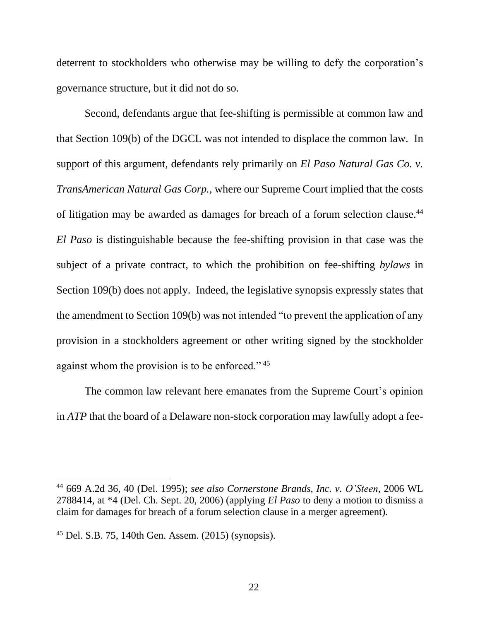deterrent to stockholders who otherwise may be willing to defy the corporation's governance structure, but it did not do so.

Second, defendants argue that fee-shifting is permissible at common law and that Section 109(b) of the DGCL was not intended to displace the common law. In support of this argument, defendants rely primarily on *El Paso Natural Gas Co. v. TransAmerican Natural Gas Corp.*, where our Supreme Court implied that the costs of litigation may be awarded as damages for breach of a forum selection clause.<sup>44</sup> *El Paso* is distinguishable because the fee-shifting provision in that case was the subject of a private contract, to which the prohibition on fee-shifting *bylaws* in Section 109(b) does not apply. Indeed, the legislative synopsis expressly states that the amendment to Section 109(b) was not intended "to prevent the application of any provision in a stockholders agreement or other writing signed by the stockholder against whom the provision is to be enforced."<sup>45</sup>

The common law relevant here emanates from the Supreme Court's opinion in *ATP* that the board of a Delaware non-stock corporation may lawfully adopt a fee-

<sup>44</sup> 669 A.2d 36, 40 (Del. 1995); *see also Cornerstone Brands, Inc. v. O'Steen*, 2006 WL 2788414, at \*4 (Del. Ch. Sept. 20, 2006) (applying *El Paso* to deny a motion to dismiss a claim for damages for breach of a forum selection clause in a merger agreement).

<sup>45</sup> Del. S.B. 75, 140th Gen. Assem. (2015) (synopsis).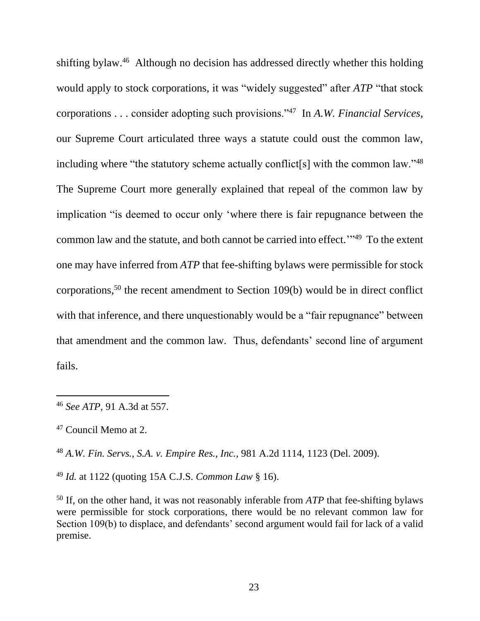shifting bylaw.<sup>46</sup> Although no decision has addressed directly whether this holding would apply to stock corporations, it was "widely suggested" after *ATP* "that stock corporations . . . consider adopting such provisions."<sup>47</sup> In *A.W. Financial Services*, our Supreme Court articulated three ways a statute could oust the common law, including where "the statutory scheme actually conflict[s] with the common law." $48$ The Supreme Court more generally explained that repeal of the common law by implication "is deemed to occur only 'where there is fair repugnance between the common law and the statute, and both cannot be carried into effect."<sup>49</sup> To the extent one may have inferred from *ATP* that fee-shifting bylaws were permissible for stock corporations, <sup>50</sup> the recent amendment to Section 109(b) would be in direct conflict with that inference, and there unquestionably would be a "fair repugnance" between that amendment and the common law. Thus, defendants' second line of argument fails.

 $\overline{a}$ 

<sup>48</sup> *A.W. Fin. Servs., S.A. v. Empire Res., Inc.*, 981 A.2d 1114, 1123 (Del. 2009).

<sup>49</sup> *Id.* at 1122 (quoting 15A C.J.S. *Common Law* § 16).

<sup>50</sup> If, on the other hand, it was not reasonably inferable from *ATP* that fee-shifting bylaws were permissible for stock corporations, there would be no relevant common law for Section 109(b) to displace, and defendants' second argument would fail for lack of a valid premise.

<sup>46</sup> *See ATP*, 91 A.3d at 557.

<sup>47</sup> Council Memo at 2.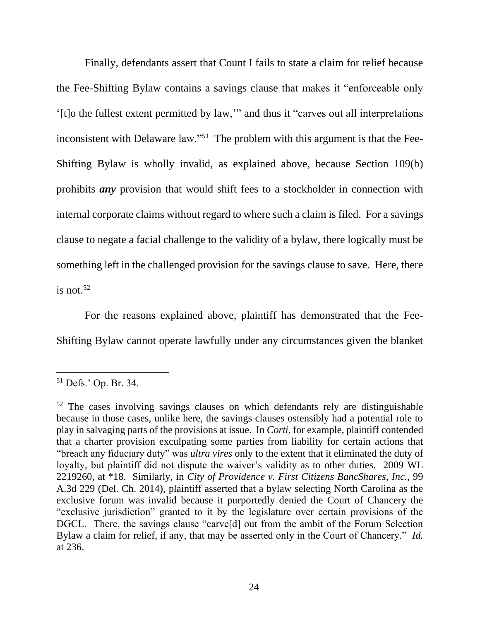Finally, defendants assert that Count I fails to state a claim for relief because the Fee-Shifting Bylaw contains a savings clause that makes it "enforceable only '[t]o the fullest extent permitted by law,'" and thus it "carves out all interpretations inconsistent with Delaware law."<sup>51</sup> The problem with this argument is that the Fee-Shifting Bylaw is wholly invalid, as explained above, because Section 109(b) prohibits *any* provision that would shift fees to a stockholder in connection with internal corporate claims without regard to where such a claim is filed. For a savings clause to negate a facial challenge to the validity of a bylaw, there logically must be something left in the challenged provision for the savings clause to save. Here, there is not. $52$ 

For the reasons explained above, plaintiff has demonstrated that the Fee-Shifting Bylaw cannot operate lawfully under any circumstances given the blanket

<sup>51</sup> Defs.' Op. Br. 34.

<sup>52</sup> The cases involving savings clauses on which defendants rely are distinguishable because in those cases, unlike here, the savings clauses ostensibly had a potential role to play in salvaging parts of the provisions at issue. In *Corti*, for example, plaintiff contended that a charter provision exculpating some parties from liability for certain actions that "breach any fiduciary duty" was *ultra vires* only to the extent that it eliminated the duty of loyalty, but plaintiff did not dispute the waiver's validity as to other duties. 2009 WL 2219260, at \*18. Similarly, in *City of Providence v. First Citizens BancShares, Inc.*, 99 A.3d 229 (Del. Ch. 2014), plaintiff asserted that a bylaw selecting North Carolina as the exclusive forum was invalid because it purportedly denied the Court of Chancery the "exclusive jurisdiction" granted to it by the legislature over certain provisions of the DGCL. There, the savings clause "carve[d] out from the ambit of the Forum Selection Bylaw a claim for relief, if any, that may be asserted only in the Court of Chancery." *Id.*  at 236.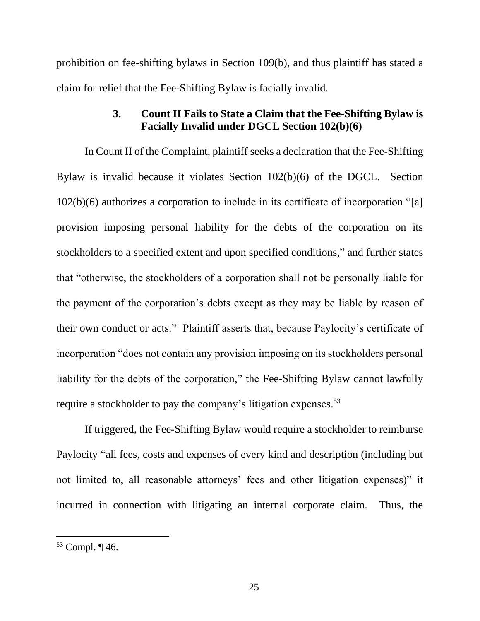prohibition on fee-shifting bylaws in Section 109(b), and thus plaintiff has stated a claim for relief that the Fee-Shifting Bylaw is facially invalid.

# **3. Count II Fails to State a Claim that the Fee-Shifting Bylaw is Facially Invalid under DGCL Section 102(b)(6)**

In Count II of the Complaint, plaintiff seeks a declaration that the Fee-Shifting Bylaw is invalid because it violates Section 102(b)(6) of the DGCL. Section 102(b)(6) authorizes a corporation to include in its certificate of incorporation "[a] provision imposing personal liability for the debts of the corporation on its stockholders to a specified extent and upon specified conditions," and further states that "otherwise, the stockholders of a corporation shall not be personally liable for the payment of the corporation's debts except as they may be liable by reason of their own conduct or acts." Plaintiff asserts that, because Paylocity's certificate of incorporation "does not contain any provision imposing on its stockholders personal liability for the debts of the corporation," the Fee-Shifting Bylaw cannot lawfully require a stockholder to pay the company's litigation expenses.<sup>53</sup>

If triggered, the Fee-Shifting Bylaw would require a stockholder to reimburse Paylocity "all fees, costs and expenses of every kind and description (including but not limited to, all reasonable attorneys' fees and other litigation expenses)" it incurred in connection with litigating an internal corporate claim. Thus, the

<sup>53</sup> Compl. ¶ 46.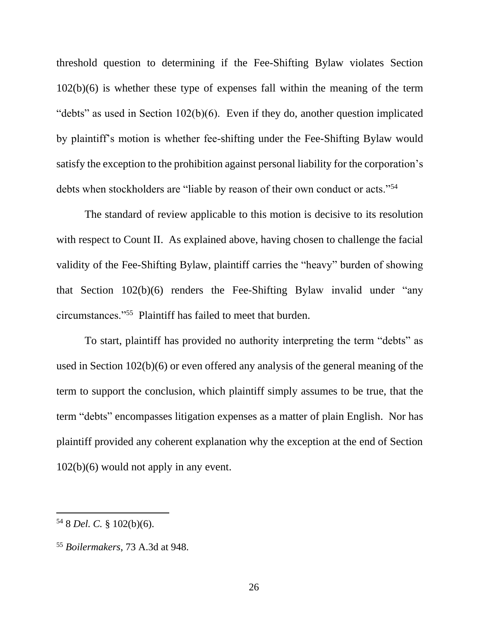threshold question to determining if the Fee-Shifting Bylaw violates Section 102(b)(6) is whether these type of expenses fall within the meaning of the term "debts" as used in Section 102(b)(6). Even if they do, another question implicated by plaintiff's motion is whether fee-shifting under the Fee-Shifting Bylaw would satisfy the exception to the prohibition against personal liability for the corporation's debts when stockholders are "liable by reason of their own conduct or acts."<sup>54</sup>

The standard of review applicable to this motion is decisive to its resolution with respect to Count II. As explained above, having chosen to challenge the facial validity of the Fee-Shifting Bylaw, plaintiff carries the "heavy" burden of showing that Section 102(b)(6) renders the Fee-Shifting Bylaw invalid under "any circumstances."<sup>55</sup> Plaintiff has failed to meet that burden.

To start, plaintiff has provided no authority interpreting the term "debts" as used in Section 102(b)(6) or even offered any analysis of the general meaning of the term to support the conclusion, which plaintiff simply assumes to be true, that the term "debts" encompasses litigation expenses as a matter of plain English. Nor has plaintiff provided any coherent explanation why the exception at the end of Section 102(b)(6) would not apply in any event.

<sup>54</sup> 8 *Del. C.* § 102(b)(6).

<sup>55</sup> *Boilermakers*, 73 A.3d at 948.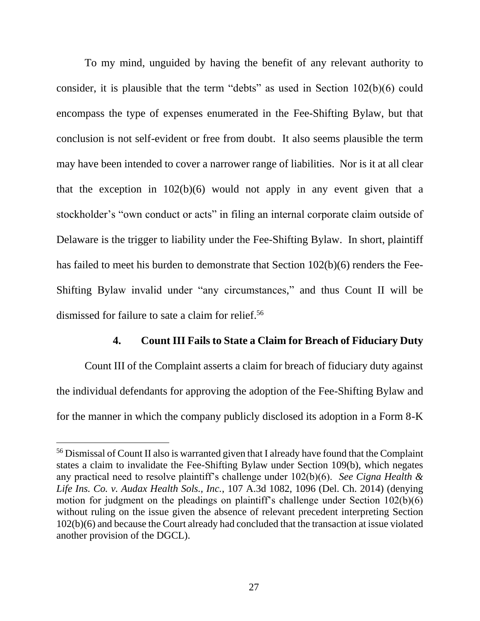To my mind, unguided by having the benefit of any relevant authority to consider, it is plausible that the term "debts" as used in Section 102(b)(6) could encompass the type of expenses enumerated in the Fee-Shifting Bylaw, but that conclusion is not self-evident or free from doubt. It also seems plausible the term may have been intended to cover a narrower range of liabilities. Nor is it at all clear that the exception in  $102(b)(6)$  would not apply in any event given that a stockholder's "own conduct or acts" in filing an internal corporate claim outside of Delaware is the trigger to liability under the Fee-Shifting Bylaw. In short, plaintiff has failed to meet his burden to demonstrate that Section 102(b)(6) renders the Fee-Shifting Bylaw invalid under "any circumstances," and thus Count II will be dismissed for failure to sate a claim for relief. 56

#### **4. Count III Fails to State a Claim for Breach of Fiduciary Duty**

Count III of the Complaint asserts a claim for breach of fiduciary duty against the individual defendants for approving the adoption of the Fee-Shifting Bylaw and for the manner in which the company publicly disclosed its adoption in a Form 8-K

<sup>56</sup> Dismissal of Count II also is warranted given that I already have found that the Complaint states a claim to invalidate the Fee-Shifting Bylaw under Section 109(b), which negates any practical need to resolve plaintiff's challenge under 102(b)(6). *See Cigna Health & Life Ins. Co. v. Audax Health Sols., Inc.*, 107 A.3d 1082, 1096 (Del. Ch. 2014) (denying motion for judgment on the pleadings on plaintiff's challenge under Section 102(b)(6) without ruling on the issue given the absence of relevant precedent interpreting Section 102(b)(6) and because the Court already had concluded that the transaction at issue violated another provision of the DGCL).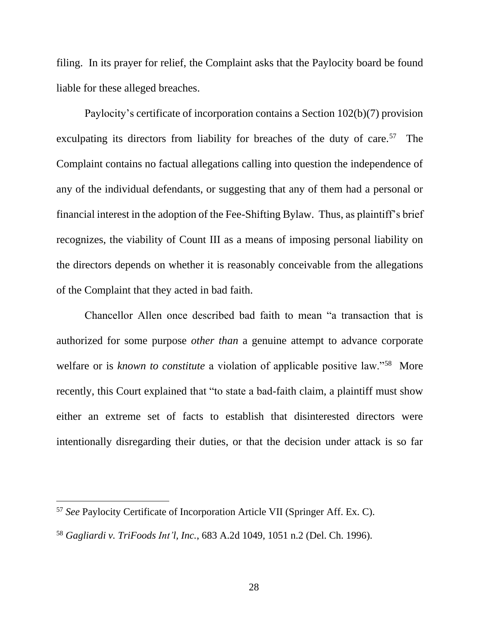filing. In its prayer for relief, the Complaint asks that the Paylocity board be found liable for these alleged breaches.

Paylocity's certificate of incorporation contains a Section 102(b)(7) provision exculpating its directors from liability for breaches of the duty of care.<sup>57</sup> The Complaint contains no factual allegations calling into question the independence of any of the individual defendants, or suggesting that any of them had a personal or financial interest in the adoption of the Fee-Shifting Bylaw. Thus, as plaintiff's brief recognizes, the viability of Count III as a means of imposing personal liability on the directors depends on whether it is reasonably conceivable from the allegations of the Complaint that they acted in bad faith.

Chancellor Allen once described bad faith to mean "a transaction that is authorized for some purpose *other than* a genuine attempt to advance corporate welfare or is *known to constitute* a violation of applicable positive law."<sup>58</sup> More recently, this Court explained that "to state a bad-faith claim, a plaintiff must show either an extreme set of facts to establish that disinterested directors were intentionally disregarding their duties, or that the decision under attack is so far

<sup>57</sup> *See* Paylocity Certificate of Incorporation Article VII (Springer Aff. Ex. C).

<sup>58</sup> *Gagliardi v. TriFoods Int'l, Inc.*, 683 A.2d 1049, 1051 n.2 (Del. Ch. 1996).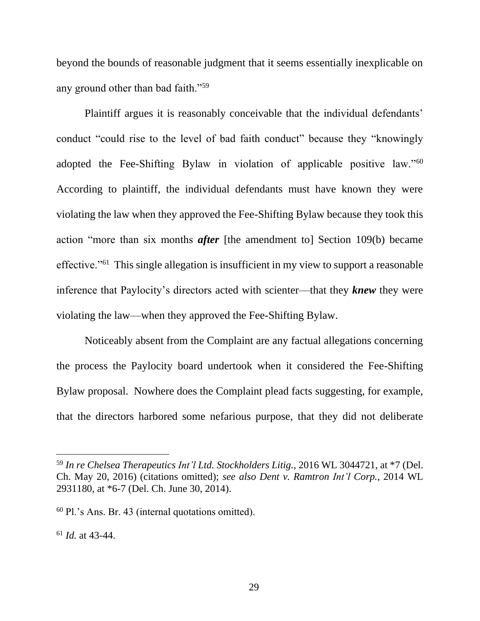beyond the bounds of reasonable judgment that it seems essentially inexplicable on any ground other than bad faith."<sup>59</sup>

Plaintiff argues it is reasonably conceivable that the individual defendants' conduct "could rise to the level of bad faith conduct" because they "knowingly adopted the Fee-Shifting Bylaw in violation of applicable positive law."<sup>60</sup> According to plaintiff, the individual defendants must have known they were violating the law when they approved the Fee-Shifting Bylaw because they took this action "more than six months *after* [the amendment to] Section 109(b) became effective."<sup>61</sup> This single allegation is insufficient in my view to support a reasonable inference that Paylocity's directors acted with scienter—that they *knew* they were violating the law—when they approved the Fee-Shifting Bylaw.

Noticeably absent from the Complaint are any factual allegations concerning the process the Paylocity board undertook when it considered the Fee-Shifting Bylaw proposal. Nowhere does the Complaint plead facts suggesting, for example, that the directors harbored some nefarious purpose, that they did not deliberate

<sup>61</sup> *Id.* at 43-44.

<sup>59</sup> *In re Chelsea Therapeutics Int'l Ltd. Stockholders Litig.*, 2016 WL 3044721, at \*7 (Del. Ch. May 20, 2016) (citations omitted); *see also Dent v. Ramtron Int'l Corp.*, 2014 WL 2931180, at \*6-7 (Del. Ch. June 30, 2014).

<sup>60</sup> Pl.'s Ans. Br. 43 (internal quotations omitted).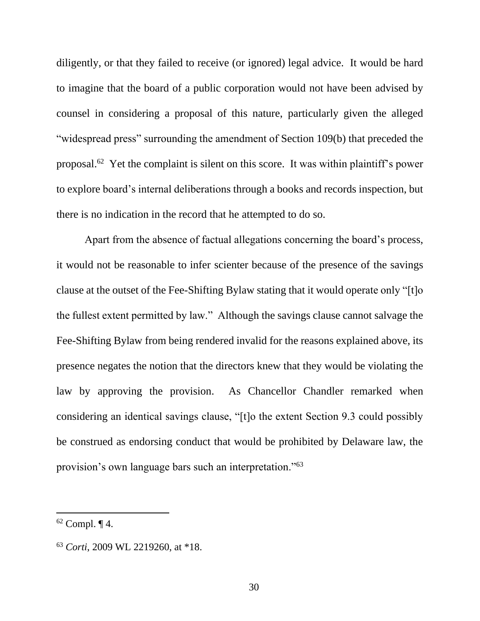diligently, or that they failed to receive (or ignored) legal advice. It would be hard to imagine that the board of a public corporation would not have been advised by counsel in considering a proposal of this nature, particularly given the alleged "widespread press" surrounding the amendment of Section 109(b) that preceded the proposal. 62 Yet the complaint is silent on this score. It was within plaintiff's power to explore board's internal deliberations through a books and records inspection, but there is no indication in the record that he attempted to do so.

Apart from the absence of factual allegations concerning the board's process, it would not be reasonable to infer scienter because of the presence of the savings clause at the outset of the Fee-Shifting Bylaw stating that it would operate only "[t]o the fullest extent permitted by law." Although the savings clause cannot salvage the Fee-Shifting Bylaw from being rendered invalid for the reasons explained above, its presence negates the notion that the directors knew that they would be violating the law by approving the provision. As Chancellor Chandler remarked when considering an identical savings clause, "[t]o the extent Section 9.3 could possibly be construed as endorsing conduct that would be prohibited by Delaware law, the provision's own language bars such an interpretation."<sup>63</sup>

 $62$  Compl.  $\P$  4.

<sup>63</sup> *Corti*, 2009 WL 2219260, at \*18.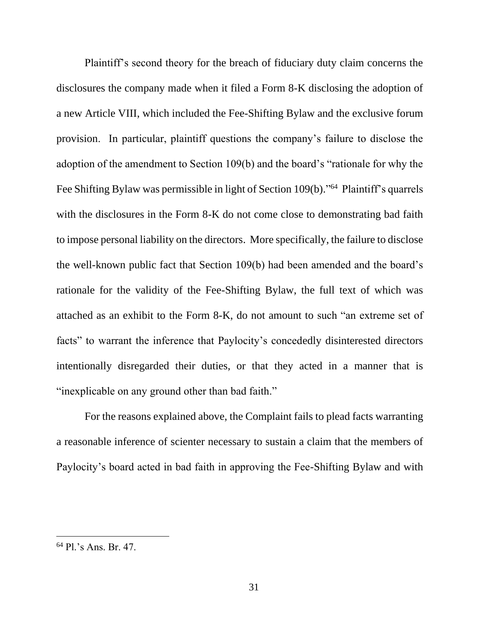Plaintiff's second theory for the breach of fiduciary duty claim concerns the disclosures the company made when it filed a Form 8-K disclosing the adoption of a new Article VIII, which included the Fee-Shifting Bylaw and the exclusive forum provision. In particular, plaintiff questions the company's failure to disclose the adoption of the amendment to Section 109(b) and the board's "rationale for why the Fee Shifting Bylaw was permissible in light of Section 109(b)."<sup>64</sup> Plaintiff's quarrels with the disclosures in the Form 8-K do not come close to demonstrating bad faith to impose personal liability on the directors. More specifically, the failure to disclose the well-known public fact that Section 109(b) had been amended and the board's rationale for the validity of the Fee-Shifting Bylaw, the full text of which was attached as an exhibit to the Form 8-K, do not amount to such "an extreme set of facts" to warrant the inference that Paylocity's concededly disinterested directors intentionally disregarded their duties, or that they acted in a manner that is "inexplicable on any ground other than bad faith."

For the reasons explained above, the Complaint fails to plead facts warranting a reasonable inference of scienter necessary to sustain a claim that the members of Paylocity's board acted in bad faith in approving the Fee-Shifting Bylaw and with

<sup>64</sup> Pl.'s Ans. Br. 47.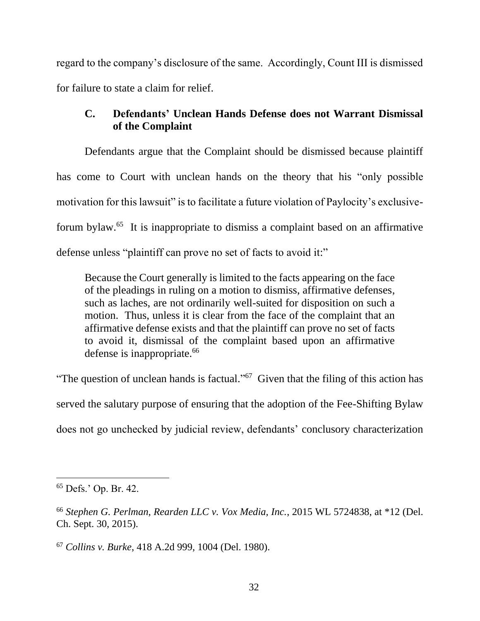regard to the company's disclosure of the same. Accordingly, Count III is dismissed for failure to state a claim for relief.

# **C. Defendants' Unclean Hands Defense does not Warrant Dismissal of the Complaint**

Defendants argue that the Complaint should be dismissed because plaintiff has come to Court with unclean hands on the theory that his "only possible motivation for this lawsuit" is to facilitate a future violation of Paylocity's exclusiveforum bylaw.<sup>65</sup> It is inappropriate to dismiss a complaint based on an affirmative defense unless "plaintiff can prove no set of facts to avoid it:"

Because the Court generally is limited to the facts appearing on the face of the pleadings in ruling on a motion to dismiss, affirmative defenses, such as laches, are not ordinarily well-suited for disposition on such a motion. Thus, unless it is clear from the face of the complaint that an affirmative defense exists and that the plaintiff can prove no set of facts to avoid it, dismissal of the complaint based upon an affirmative defense is inappropriate.<sup>66</sup>

"The question of unclean hands is factual."<sup> $67$ </sup> Given that the filing of this action has served the salutary purpose of ensuring that the adoption of the Fee-Shifting Bylaw does not go unchecked by judicial review, defendants' conclusory characterization

<sup>65</sup> Defs.' Op. Br. 42.

<sup>66</sup> *Stephen G. Perlman, Rearden LLC v. Vox Media, Inc.*, 2015 WL 5724838, at \*12 (Del. Ch. Sept. 30, 2015).

<sup>67</sup> *Collins v. Burke*, 418 A.2d 999, 1004 (Del. 1980).